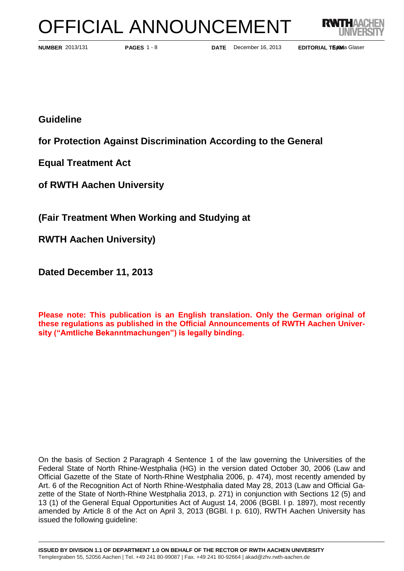# OFFICIAL ANNOUNCEMENT



**PAGES** 1 - 8

**NUMBER** 2013/131 **PAGES** 1 - 8 **DATE** December 16, 2013 **EDITORIAL TEXAM**a Glaser

**Guideline** 

**for Protection Against Discrimination According to the General** 

**Equal Treatment Act**

**of RWTH Aachen University** 

**(Fair Treatment When Working and Studying at** 

**RWTH Aachen University)**

**Dated December 11, 2013**

**Please note: This publication is an English translation. Only the German original of these regulations as published in the Official Announcements of RWTH Aachen University ("Amtliche Bekanntmachungen") is legally binding.**

On the basis of Section 2 Paragraph 4 Sentence 1 of the law governing the Universities of the Federal State of North Rhine-Westphalia (HG) in the version dated October 30, 2006 (Law and Official Gazette of the State of North-Rhine Westphalia 2006, p. 474), most recently amended by Art. 6 of the Recognition Act of North Rhine-Westphalia dated May 28, 2013 (Law and Official Gazette of the State of North-Rhine Westphalia 2013, p. 271) in conjunction with Sections 12 (5) and 13 (1) of the General Equal Opportunities Act of August 14, 2006 (BGBl. I p. 1897), most recently amended by Article 8 of the Act on April 3, 2013 (BGBl. I p. 610), RWTH Aachen University has issued the following guideline: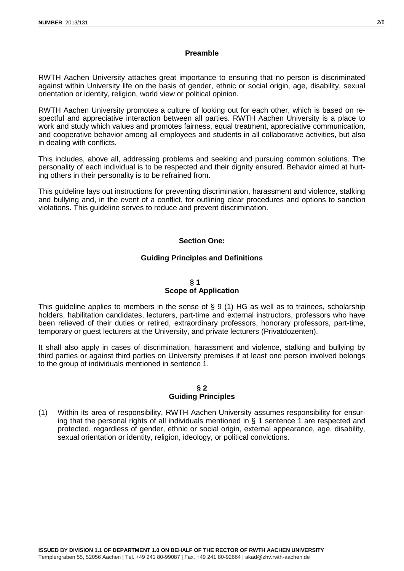### **Preamble**

RWTH Aachen University attaches great importance to ensuring that no person is discriminated against within University life on the basis of gender, ethnic or social origin, age, disability, sexual orientation or identity, religion, world view or political opinion.

RWTH Aachen University promotes a culture of looking out for each other, which is based on respectful and appreciative interaction between all parties. RWTH Aachen University is a place to work and study which values and promotes fairness, equal treatment, appreciative communication, and cooperative behavior among all employees and students in all collaborative activities, but also in dealing with conflicts.

This includes, above all, addressing problems and seeking and pursuing common solutions. The personality of each individual is to be respected and their dignity ensured. Behavior aimed at hurting others in their personality is to be refrained from.

This guideline lays out instructions for preventing discrimination, harassment and violence, stalking and bullying and, in the event of a conflict, for outlining clear procedures and options to sanction violations. This guideline serves to reduce and prevent discrimination.

## **Section One:**

## **Guiding Principles and Definitions**

## **§ 1 Scope of Application**

This guideline applies to members in the sense of § 9 (1) HG as well as to trainees, scholarship holders, habilitation candidates, lecturers, part-time and external instructors, professors who have been relieved of their duties or retired, extraordinary professors, honorary professors, part-time, temporary or guest lecturers at the University, and private lecturers (Privatdozenten).

It shall also apply in cases of discrimination, harassment and violence, stalking and bullying by third parties or against third parties on University premises if at least one person involved belongs to the group of individuals mentioned in sentence 1.

### **§ 2 Guiding Principles**

(1) Within its area of responsibility, RWTH Aachen University assumes responsibility for ensuring that the personal rights of all individuals mentioned in § 1 sentence 1 are respected and protected, regardless of gender, ethnic or social origin, external appearance, age, disability, sexual orientation or identity, religion, ideology, or political convictions.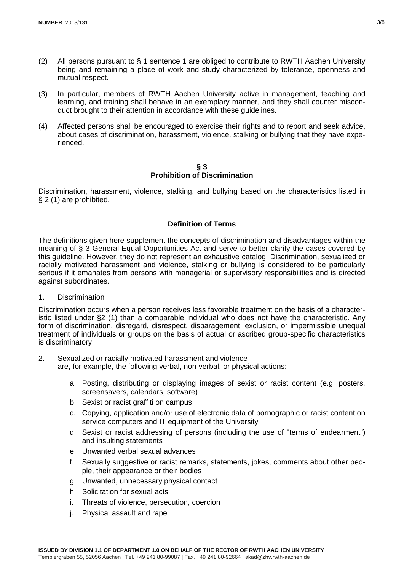- (2) All persons pursuant to § 1 sentence 1 are obliged to contribute to RWTH Aachen University being and remaining a place of work and study characterized by tolerance, openness and mutual respect.
- (3) In particular, members of RWTH Aachen University active in management, teaching and learning, and training shall behave in an exemplary manner, and they shall counter misconduct brought to their attention in accordance with these guidelines.
- (4) Affected persons shall be encouraged to exercise their rights and to report and seek advice, about cases of discrimination, harassment, violence, stalking or bullying that they have experienced.

### **§ 3 Prohibition of Discrimination**

Discrimination, harassment, violence, stalking, and bullying based on the characteristics listed in § 2 (1) are prohibited.

# **Definition of Terms**

The definitions given here supplement the concepts of discrimination and disadvantages within the meaning of § 3 General Equal Opportunities Act and serve to better clarify the cases covered by this guideline. However, they do not represent an exhaustive catalog. Discrimination, sexualized or racially motivated harassment and violence, stalking or bullying is considered to be particularly serious if it emanates from persons with managerial or supervisory responsibilities and is directed against subordinates.

## 1. Discrimination

Discrimination occurs when a person receives less favorable treatment on the basis of a characteristic listed under §2 (1) than a comparable individual who does not have the characteristic. Any form of discrimination, disregard, disrespect, disparagement, exclusion, or impermissible unequal treatment of individuals or groups on the basis of actual or ascribed group-specific characteristics is discriminatory.

## 2. Sexualized or racially motivated harassment and violence

are, for example, the following verbal, non-verbal, or physical actions:

- a. Posting, distributing or displaying images of sexist or racist content (e.g. posters, screensavers, calendars, software)
- b. Sexist or racist graffiti on campus
- c. Copying, application and/or use of electronic data of pornographic or racist content on service computers and IT equipment of the University
- d. Sexist or racist addressing of persons (including the use of "terms of endearment") and insulting statements
- e. Unwanted verbal sexual advances
- f. Sexually suggestive or racist remarks, statements, jokes, comments about other people, their appearance or their bodies
- g. Unwanted, unnecessary physical contact
- h. Solicitation for sexual acts
- i. Threats of violence, persecution, coercion
- j. Physical assault and rape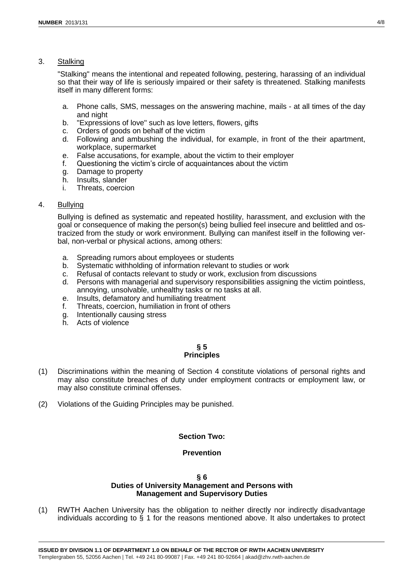## 3. Stalking

"Stalking" means the intentional and repeated following, pestering, harassing of an individual so that their way of life is seriously impaired or their safety is threatened. Stalking manifests itself in many different forms:

- a. Phone calls, SMS, messages on the answering machine, mails at all times of the day and night
- b. "Expressions of love" such as love letters, flowers, gifts
- c. Orders of goods on behalf of the victim
- d. Following and ambushing the individual, for example, in front of the their apartment, workplace, supermarket
- e. False accusations, for example, about the victim to their employer
- f. Questioning the victim's circle of acquaintances about the victim
- g. Damage to property
- h. Insults, slander
- i. Threats, coercion

## 4. Bullying

Bullying is defined as systematic and repeated hostility, harassment, and exclusion with the goal or consequence of making the person(s) being bullied feel insecure and belittled and ostracized from the study or work environment. Bullying can manifest itself in the following verbal, non-verbal or physical actions, among others:

- a. Spreading rumors about employees or students
- b. Systematic withholding of information relevant to studies or work
- c. Refusal of contacts relevant to study or work, exclusion from discussions
- d. Persons with managerial and supervisory responsibilities assigning the victim pointless, annoying, unsolvable, unhealthy tasks or no tasks at all.
- e. Insults, defamatory and humiliating treatment
- f. Threats, coercion, humiliation in front of others
- g. Intentionally causing stress
- h. Acts of violence

## **§ 5 Principles**

- (1) Discriminations within the meaning of Section 4 constitute violations of personal rights and may also constitute breaches of duty under employment contracts or employment law, or may also constitute criminal offenses.
- (2) Violations of the Guiding Principles may be punished.

# **Section Two:**

# **Prevention**

#### **§ 6 Duties of University Management and Persons with Management and Supervisory Duties**

(1) RWTH Aachen University has the obligation to neither directly nor indirectly disadvantage individuals according to § 1 for the reasons mentioned above. It also undertakes to protect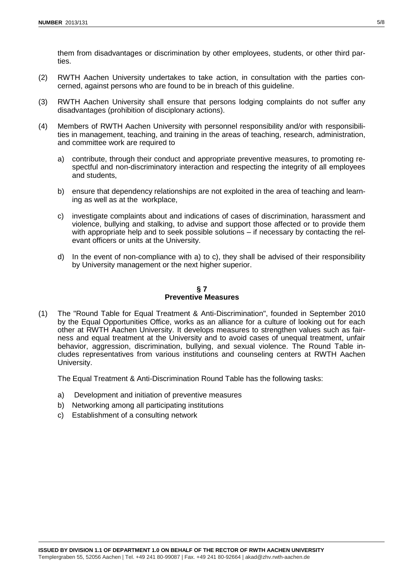them from disadvantages or discrimination by other employees, students, or other third parties.

- (2) RWTH Aachen University undertakes to take action, in consultation with the parties concerned, against persons who are found to be in breach of this guideline.
- (3) RWTH Aachen University shall ensure that persons lodging complaints do not suffer any disadvantages (prohibition of disciplonary actions).
- (4) Members of RWTH Aachen University with personnel responsibility and/or with responsibilities in management, teaching, and training in the areas of teaching, research, administration, and committee work are required to
	- a) contribute, through their conduct and appropriate preventive measures, to promoting respectful and non-discriminatory interaction and respecting the integrity of all employees and students,
	- b) ensure that dependency relationships are not exploited in the area of teaching and learning as well as at the workplace,
	- c) investigate complaints about and indications of cases of discrimination, harassment and violence, bullying and stalking, to advise and support those affected or to provide them with appropriate help and to seek possible solutions – if necessary by contacting the relevant officers or units at the University.
	- d) In the event of non-compliance with a) to c), they shall be advised of their responsibility by University management or the next higher superior.

## **§ 7 Preventive Measures**

(1) The "Round Table for Equal Treatment & Anti-Discrimination", founded in September 2010 by the Equal Opportunities Office, works as an alliance for a culture of looking out for each other at RWTH Aachen University. It develops measures to strengthen values such as fairness and equal treatment at the University and to avoid cases of unequal treatment, unfair behavior, aggression, discrimination, bullying, and sexual violence. The Round Table includes representatives from various institutions and counseling centers at RWTH Aachen University.

The Equal Treatment & Anti-Discrimination Round Table has the following tasks:

- a) Development and initiation of preventive measures
- b) Networking among all participating institutions
- c) Establishment of a consulting network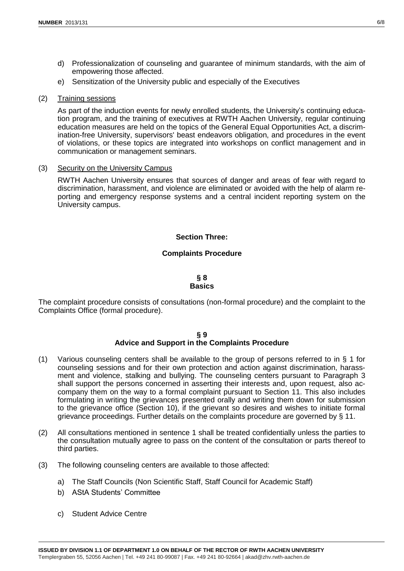- d) Professionalization of counseling and guarantee of minimum standards, with the aim of empowering those affected.
- e) Sensitization of the University public and especially of the Executives

## (2) Training sessions

As part of the induction events for newly enrolled students, the University's continuing education program, and the training of executives at RWTH Aachen University, regular continuing education measures are held on the topics of the General Equal Opportunities Act, a discrimination-free University, supervisors' beast endeavors obligation, and procedures in the event of violations, or these topics are integrated into workshops on conflict management and in communication or management seminars.

## (3) Security on the University Campus

RWTH Aachen University ensures that sources of danger and areas of fear with regard to discrimination, harassment, and violence are eliminated or avoided with the help of alarm reporting and emergency response systems and a central incident reporting system on the University campus.

## **Section Three:**

## **Complaints Procedure**

#### **§ 8 Basics**

The complaint procedure consists of consultations (non-formal procedure) and the complaint to the Complaints Office (formal procedure).

#### **§ 9 Advice and Support in the Complaints Procedure**

- (1) Various counseling centers shall be available to the group of persons referred to in § 1 for counseling sessions and for their own protection and action against discrimination, harassment and violence, stalking and bullying. The counseling centers pursuant to Paragraph 3 shall support the persons concerned in asserting their interests and, upon request, also accompany them on the way to a formal complaint pursuant to Section 11. This also includes formulating in writing the grievances presented orally and writing them down for submission to the grievance office (Section 10), if the grievant so desires and wishes to initiate formal grievance proceedings. Further details on the complaints procedure are governed by  $\S$  11.
- (2) All consultations mentioned in sentence 1 shall be treated confidentially unless the parties to the consultation mutually agree to pass on the content of the consultation or parts thereof to third parties.
- (3) The following counseling centers are available to those affected:
	- a) The Staff Councils (Non Scientific Staff, Staff Council for Academic Staff)
	- b) AStA Students' Committee
	- c) Student Advice Centre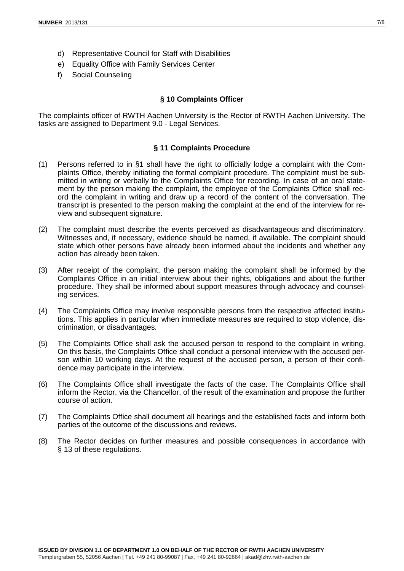- d) Representative Council for Staff with Disabilities
- e) Equality Office with Family Services Center
- f) Social Counseling

#### **§ 10 Complaints Officer**

The complaints officer of RWTH Aachen University is the Rector of RWTH Aachen University. The tasks are assigned to Department 9.0 - Legal Services.

# **§ 11 Complaints Procedure**

- (1) Persons referred to in §1 shall have the right to officially lodge a complaint with the Complaints Office, thereby initiating the formal complaint procedure. The complaint must be submitted in writing or verbally to the Complaints Office for recording. In case of an oral statement by the person making the complaint, the employee of the Complaints Office shall record the complaint in writing and draw up a record of the content of the conversation. The transcript is presented to the person making the complaint at the end of the interview for review and subsequent signature.
- (2) The complaint must describe the events perceived as disadvantageous and discriminatory. Witnesses and, if necessary, evidence should be named, if available. The complaint should state which other persons have already been informed about the incidents and whether any action has already been taken.
- (3) After receipt of the complaint, the person making the complaint shall be informed by the Complaints Office in an initial interview about their rights, obligations and about the further procedure. They shall be informed about support measures through advocacy and counseling services.
- (4) The Complaints Office may involve responsible persons from the respective affected institutions. This applies in particular when immediate measures are required to stop violence, discrimination, or disadvantages.
- (5) The Complaints Office shall ask the accused person to respond to the complaint in writing. On this basis, the Complaints Office shall conduct a personal interview with the accused person within 10 working days. At the request of the accused person, a person of their confidence may participate in the interview.
- (6) The Complaints Office shall investigate the facts of the case. The Complaints Office shall inform the Rector, via the Chancellor, of the result of the examination and propose the further course of action.
- (7) The Complaints Office shall document all hearings and the established facts and inform both parties of the outcome of the discussions and reviews.
- (8) The Rector decides on further measures and possible consequences in accordance with § 13 of these regulations.